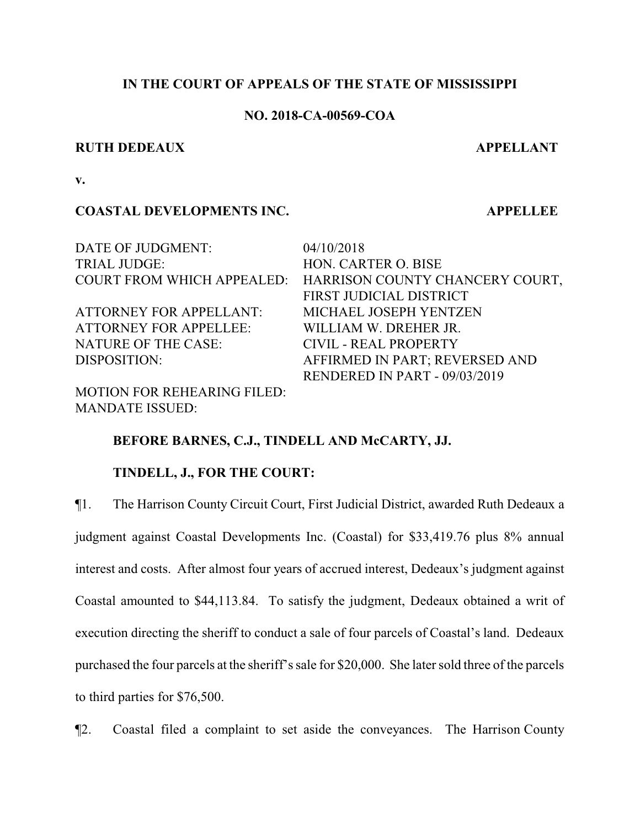# **IN THE COURT OF APPEALS OF THE STATE OF MISSISSIPPI**

## **NO. 2018-CA-00569-COA**

#### **RUTH DEDEAUX APPELLANT**

**v.**

## **COASTAL DEVELOPMENTS INC. APPELLEE**

DATE OF JUDGMENT: 04/10/2018 TRIAL JUDGE: HON. CARTER O. BISE COURT FROM WHICH APPEALED: HARRISON COUNTY CHANCERY COURT, FIRST JUDICIAL DISTRICT ATTORNEY FOR APPELLANT: MICHAEL JOSEPH YENTZEN ATTORNEY FOR APPELLEE: WILLIAM W. DREHER JR. NATURE OF THE CASE: CIVIL - REAL PROPERTY DISPOSITION: AFFIRMED IN PART; REVERSED AND RENDERED IN PART - 09/03/2019

MOTION FOR REHEARING FILED: MANDATE ISSUED:

**BEFORE BARNES, C.J., TINDELL AND McCARTY, JJ.**

## **TINDELL, J., FOR THE COURT:**

¶1. The Harrison County Circuit Court, First Judicial District, awarded Ruth Dedeaux a

judgment against Coastal Developments Inc. (Coastal) for \$33,419.76 plus 8% annual

interest and costs. After almost four years of accrued interest, Dedeaux's judgment against

Coastal amounted to \$44,113.84. To satisfy the judgment, Dedeaux obtained a writ of

execution directing the sheriff to conduct a sale of four parcels of Coastal's land. Dedeaux

purchased the four parcels at the sheriff's sale for \$20,000. She later sold three of the parcels

to third parties for \$76,500.

¶2. Coastal filed a complaint to set aside the conveyances. The Harrison County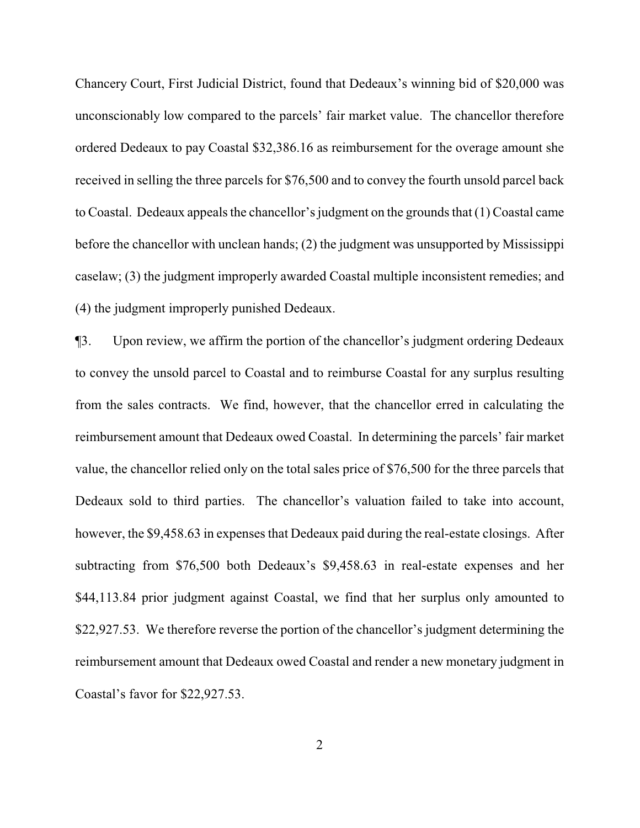Chancery Court, First Judicial District, found that Dedeaux's winning bid of \$20,000 was unconscionably low compared to the parcels' fair market value. The chancellor therefore ordered Dedeaux to pay Coastal \$32,386.16 as reimbursement for the overage amount she received in selling the three parcels for \$76,500 and to convey the fourth unsold parcel back to Coastal. Dedeaux appeals the chancellor's judgment on the grounds that (1) Coastal came before the chancellor with unclean hands; (2) the judgment was unsupported by Mississippi caselaw; (3) the judgment improperly awarded Coastal multiple inconsistent remedies; and (4) the judgment improperly punished Dedeaux.

¶3. Upon review, we affirm the portion of the chancellor's judgment ordering Dedeaux to convey the unsold parcel to Coastal and to reimburse Coastal for any surplus resulting from the sales contracts. We find, however, that the chancellor erred in calculating the reimbursement amount that Dedeaux owed Coastal. In determining the parcels' fair market value, the chancellor relied only on the total sales price of \$76,500 for the three parcels that Dedeaux sold to third parties. The chancellor's valuation failed to take into account, however, the \$9,458.63 in expenses that Dedeaux paid during the real-estate closings. After subtracting from \$76,500 both Dedeaux's \$9,458.63 in real-estate expenses and her \$44,113.84 prior judgment against Coastal, we find that her surplus only amounted to \$22,927.53. We therefore reverse the portion of the chancellor's judgment determining the reimbursement amount that Dedeaux owed Coastal and render a new monetary judgment in Coastal's favor for \$22,927.53.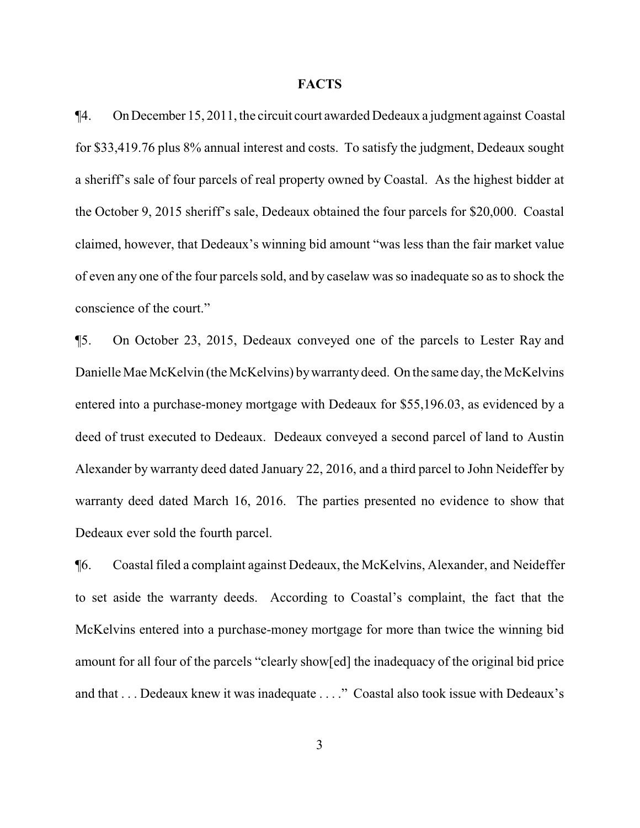#### **FACTS**

¶4. OnDecember 15, 2011, the circuit court awarded Dedeaux a judgment against Coastal for \$33,419.76 plus 8% annual interest and costs. To satisfy the judgment, Dedeaux sought a sheriff's sale of four parcels of real property owned by Coastal. As the highest bidder at the October 9, 2015 sheriff's sale, Dedeaux obtained the four parcels for \$20,000. Coastal claimed, however, that Dedeaux's winning bid amount "was less than the fair market value of even any one of the four parcels sold, and by caselaw was so inadequate so as to shock the conscience of the court."

¶5. On October 23, 2015, Dedeaux conveyed one of the parcels to Lester Ray and Danielle Mae McKelvin (the McKelvins) by warranty deed. On the same day, the McKelvins entered into a purchase-money mortgage with Dedeaux for \$55,196.03, as evidenced by a deed of trust executed to Dedeaux. Dedeaux conveyed a second parcel of land to Austin Alexander by warranty deed dated January 22, 2016, and a third parcel to John Neideffer by warranty deed dated March 16, 2016. The parties presented no evidence to show that Dedeaux ever sold the fourth parcel.

¶6. Coastal filed a complaint against Dedeaux, the McKelvins, Alexander, and Neideffer to set aside the warranty deeds. According to Coastal's complaint, the fact that the McKelvins entered into a purchase-money mortgage for more than twice the winning bid amount for all four of the parcels "clearly show[ed] the inadequacy of the original bid price and that . . . Dedeaux knew it was inadequate . . . ." Coastal also took issue with Dedeaux's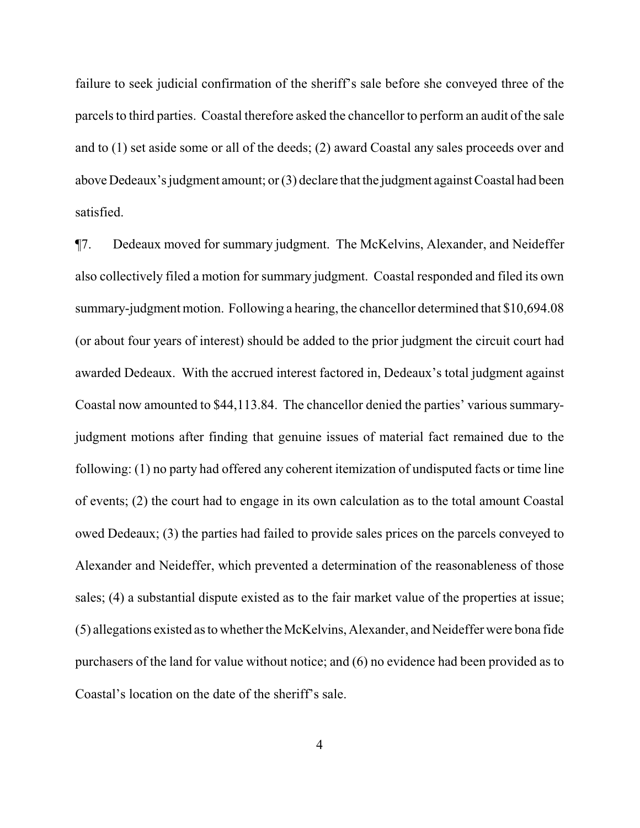failure to seek judicial confirmation of the sheriff's sale before she conveyed three of the parcels to third parties. Coastal therefore asked the chancellor to perform an audit of the sale and to (1) set aside some or all of the deeds; (2) award Coastal any sales proceeds over and aboveDedeaux's judgment amount; or (3) declare that the judgment against Coastal had been satisfied.

¶7. Dedeaux moved for summary judgment. The McKelvins, Alexander, and Neideffer also collectively filed a motion for summary judgment. Coastal responded and filed its own summary-judgment motion. Following a hearing, the chancellor determined that \$10,694.08 (or about four years of interest) should be added to the prior judgment the circuit court had awarded Dedeaux. With the accrued interest factored in, Dedeaux's total judgment against Coastal now amounted to \$44,113.84. The chancellor denied the parties' various summaryjudgment motions after finding that genuine issues of material fact remained due to the following: (1) no party had offered any coherent itemization of undisputed facts or time line of events; (2) the court had to engage in its own calculation as to the total amount Coastal owed Dedeaux; (3) the parties had failed to provide sales prices on the parcels conveyed to Alexander and Neideffer, which prevented a determination of the reasonableness of those sales; (4) a substantial dispute existed as to the fair market value of the properties at issue; (5) allegations existed as to whether the McKelvins, Alexander, and Neidefferwere bona fide purchasers of the land for value without notice; and (6) no evidence had been provided as to Coastal's location on the date of the sheriff's sale.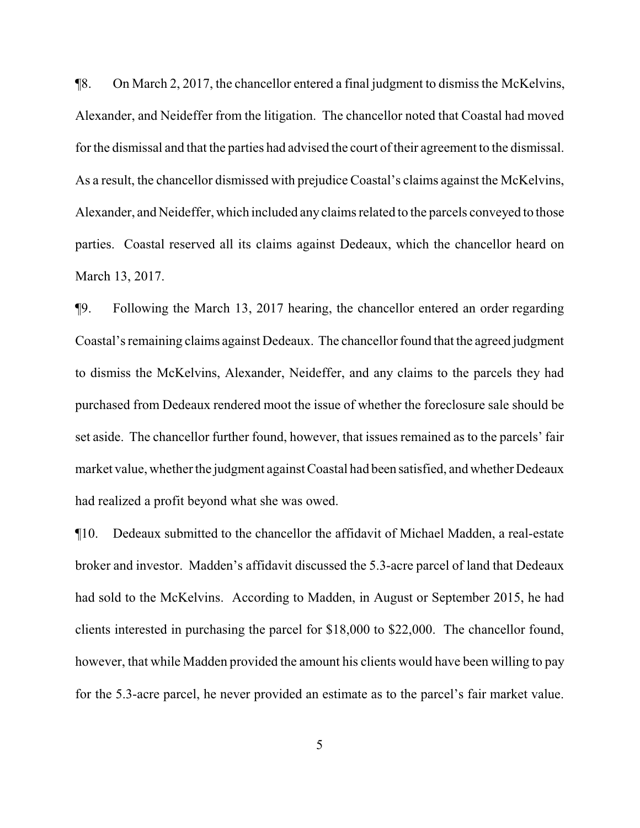¶8. On March 2, 2017, the chancellor entered a final judgment to dismiss the McKelvins, Alexander, and Neideffer from the litigation. The chancellor noted that Coastal had moved for the dismissal and that the parties had advised the court of their agreement to the dismissal. As a result, the chancellor dismissed with prejudice Coastal's claims against the McKelvins, Alexander, and Neideffer, which included any claims related to the parcels conveyed to those parties. Coastal reserved all its claims against Dedeaux, which the chancellor heard on March 13, 2017.

¶9. Following the March 13, 2017 hearing, the chancellor entered an order regarding Coastal's remaining claims against Dedeaux. The chancellor found that the agreed judgment to dismiss the McKelvins, Alexander, Neideffer, and any claims to the parcels they had purchased from Dedeaux rendered moot the issue of whether the foreclosure sale should be set aside. The chancellor further found, however, that issues remained as to the parcels' fair market value, whether the judgment against Coastal had been satisfied, and whether Dedeaux had realized a profit beyond what she was owed.

¶10. Dedeaux submitted to the chancellor the affidavit of Michael Madden, a real-estate broker and investor. Madden's affidavit discussed the 5.3-acre parcel of land that Dedeaux had sold to the McKelvins. According to Madden, in August or September 2015, he had clients interested in purchasing the parcel for \$18,000 to \$22,000. The chancellor found, however, that while Madden provided the amount his clients would have been willing to pay for the 5.3-acre parcel, he never provided an estimate as to the parcel's fair market value.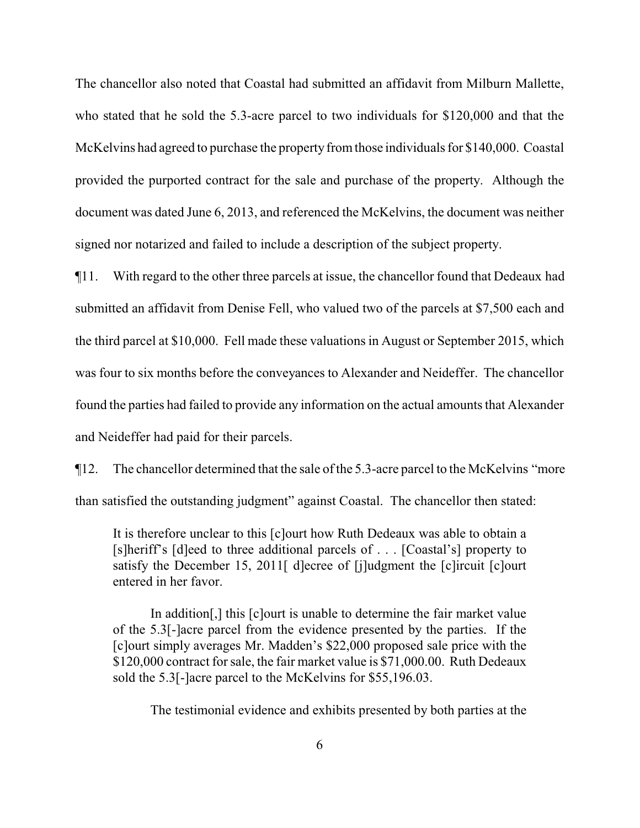The chancellor also noted that Coastal had submitted an affidavit from Milburn Mallette, who stated that he sold the 5.3-acre parcel to two individuals for \$120,000 and that the McKelvins had agreed to purchase the property from those individuals for \$140,000. Coastal provided the purported contract for the sale and purchase of the property. Although the document was dated June 6, 2013, and referenced the McKelvins, the document was neither signed nor notarized and failed to include a description of the subject property.

¶11. With regard to the other three parcels at issue, the chancellor found that Dedeaux had submitted an affidavit from Denise Fell, who valued two of the parcels at \$7,500 each and the third parcel at \$10,000. Fell made these valuations in August or September 2015, which was four to six months before the conveyances to Alexander and Neideffer. The chancellor found the parties had failed to provide any information on the actual amounts that Alexander and Neideffer had paid for their parcels.

¶12. The chancellor determined that the sale ofthe 5.3-acre parcel to the McKelvins "more than satisfied the outstanding judgment" against Coastal. The chancellor then stated:

It is therefore unclear to this [c]ourt how Ruth Dedeaux was able to obtain a [s]heriff's [d]eed to three additional parcels of . . . [Coastal's] property to satisfy the December 15, 2011[ d]ecree of [j]udgment the [c]ircuit [c]ourt entered in her favor.

In addition[,] this [c]ourt is unable to determine the fair market value of the 5.3[-]acre parcel from the evidence presented by the parties. If the [c]ourt simply averages Mr. Madden's \$22,000 proposed sale price with the \$120,000 contract forsale, the fair market value is \$71,000.00. Ruth Dedeaux sold the 5.3[-]acre parcel to the McKelvins for \$55,196.03.

The testimonial evidence and exhibits presented by both parties at the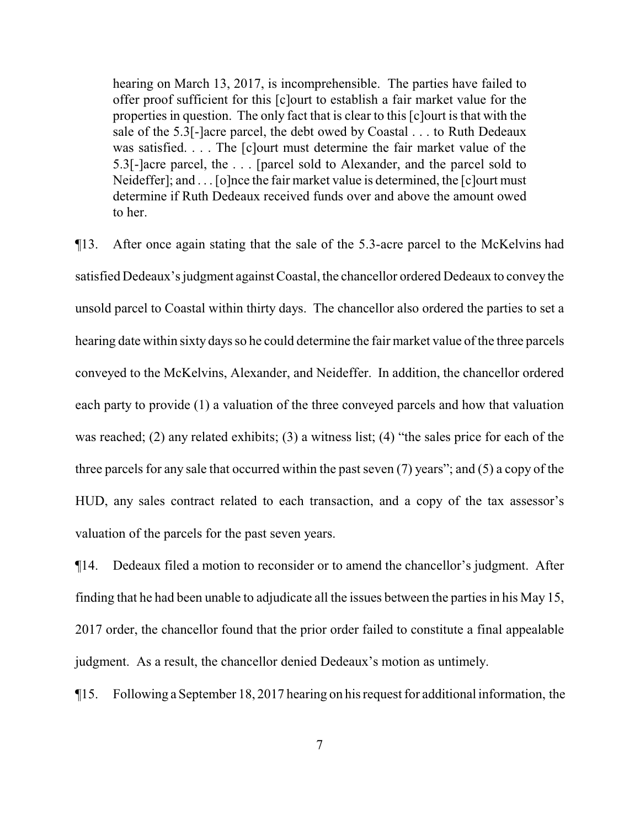hearing on March 13, 2017, is incomprehensible. The parties have failed to offer proof sufficient for this [c]ourt to establish a fair market value for the properties in question. The only fact that is clear to this [c]ourt is that with the sale of the 5.3[-]acre parcel, the debt owed by Coastal . . . to Ruth Dedeaux was satisfied. . . . The [c]ourt must determine the fair market value of the 5.3[-]acre parcel, the . . . [parcel sold to Alexander, and the parcel sold to Neideffer]; and . . . [o]nce the fair market value is determined, the [c]ourt must determine if Ruth Dedeaux received funds over and above the amount owed to her.

¶13. After once again stating that the sale of the 5.3-acre parcel to the McKelvins had satisfied Dedeaux's judgment against Coastal, the chancellor ordered Dedeaux to convey the unsold parcel to Coastal within thirty days. The chancellor also ordered the parties to set a hearing date within sixty days so he could determine the fair market value of the three parcels conveyed to the McKelvins, Alexander, and Neideffer. In addition, the chancellor ordered each party to provide (1) a valuation of the three conveyed parcels and how that valuation was reached; (2) any related exhibits; (3) a witness list; (4) "the sales price for each of the three parcels for any sale that occurred within the past seven (7) years"; and (5) a copy of the HUD, any sales contract related to each transaction, and a copy of the tax assessor's valuation of the parcels for the past seven years.

¶14. Dedeaux filed a motion to reconsider or to amend the chancellor's judgment. After finding that he had been unable to adjudicate all the issues between the parties in his May 15, 2017 order, the chancellor found that the prior order failed to constitute a final appealable judgment. As a result, the chancellor denied Dedeaux's motion as untimely.

¶15. Following a September 18, 2017 hearing on his request for additional information, the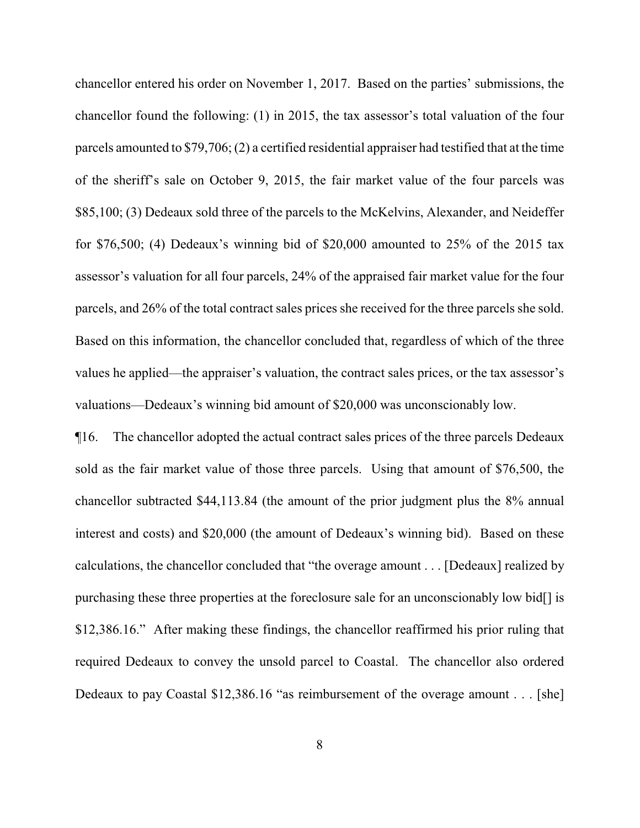chancellor entered his order on November 1, 2017. Based on the parties' submissions, the chancellor found the following: (1) in 2015, the tax assessor's total valuation of the four parcels amounted to \$79,706; (2) a certified residential appraiser had testified that at the time of the sheriff's sale on October 9, 2015, the fair market value of the four parcels was \$85,100; (3) Dedeaux sold three of the parcels to the McKelvins, Alexander, and Neideffer for \$76,500; (4) Dedeaux's winning bid of \$20,000 amounted to 25% of the 2015 tax assessor's valuation for all four parcels, 24% of the appraised fair market value for the four parcels, and 26% of the total contract sales prices she received for the three parcels she sold. Based on this information, the chancellor concluded that, regardless of which of the three values he applied—the appraiser's valuation, the contract sales prices, or the tax assessor's valuations—Dedeaux's winning bid amount of \$20,000 was unconscionably low.

¶16. The chancellor adopted the actual contract sales prices of the three parcels Dedeaux sold as the fair market value of those three parcels. Using that amount of \$76,500, the chancellor subtracted \$44,113.84 (the amount of the prior judgment plus the 8% annual interest and costs) and \$20,000 (the amount of Dedeaux's winning bid). Based on these calculations, the chancellor concluded that "the overage amount . . . [Dedeaux] realized by purchasing these three properties at the foreclosure sale for an unconscionably low bid[] is \$12,386.16." After making these findings, the chancellor reaffirmed his prior ruling that required Dedeaux to convey the unsold parcel to Coastal. The chancellor also ordered Dedeaux to pay Coastal \$12,386.16 "as reimbursement of the overage amount . . . [she]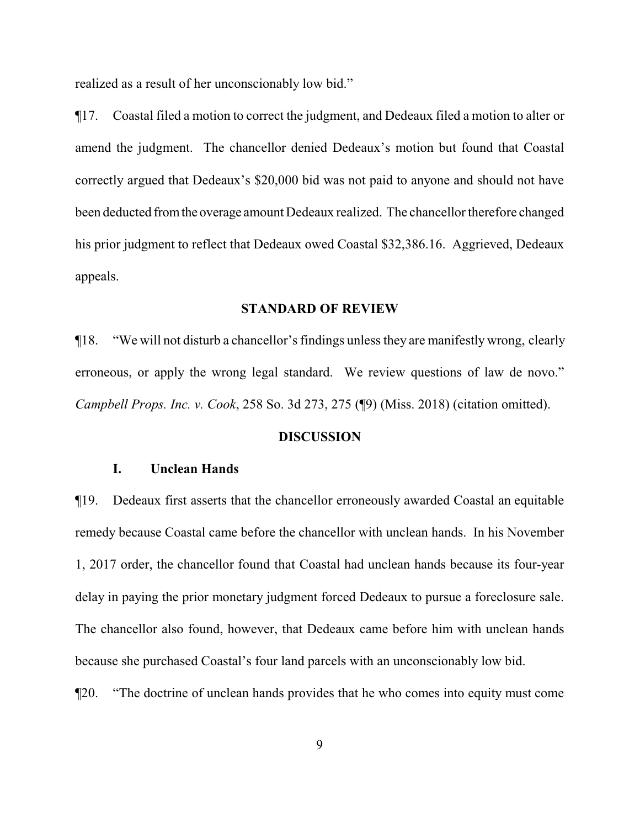realized as a result of her unconscionably low bid."

¶17. Coastal filed a motion to correct the judgment, and Dedeaux filed a motion to alter or amend the judgment. The chancellor denied Dedeaux's motion but found that Coastal correctly argued that Dedeaux's \$20,000 bid was not paid to anyone and should not have been deducted fromthe overage amount Dedeaux realized. The chancellor therefore changed his prior judgment to reflect that Dedeaux owed Coastal \$32,386.16. Aggrieved, Dedeaux appeals.

#### **STANDARD OF REVIEW**

¶18. "We will not disturb a chancellor's findings unless they are manifestly wrong, clearly erroneous, or apply the wrong legal standard. We review questions of law de novo." *Campbell Props. Inc. v. Cook*, 258 So. 3d 273, 275 (¶9) (Miss. 2018) (citation omitted).

## **DISCUSSION**

# **I. Unclean Hands**

¶19. Dedeaux first asserts that the chancellor erroneously awarded Coastal an equitable remedy because Coastal came before the chancellor with unclean hands. In his November 1, 2017 order, the chancellor found that Coastal had unclean hands because its four-year delay in paying the prior monetary judgment forced Dedeaux to pursue a foreclosure sale. The chancellor also found, however, that Dedeaux came before him with unclean hands because she purchased Coastal's four land parcels with an unconscionably low bid.

¶20. "The doctrine of unclean hands provides that he who comes into equity must come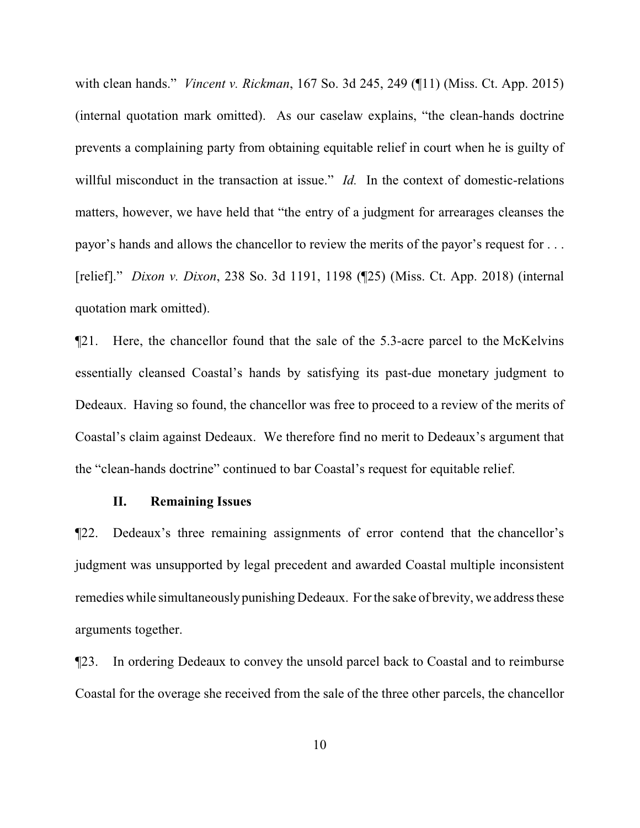with clean hands." *Vincent v. Rickman*, 167 So. 3d 245, 249 (¶11) (Miss. Ct. App. 2015) (internal quotation mark omitted). As our caselaw explains, "the clean-hands doctrine prevents a complaining party from obtaining equitable relief in court when he is guilty of willful misconduct in the transaction at issue." *Id.* In the context of domestic-relations matters, however, we have held that "the entry of a judgment for arrearages cleanses the payor's hands and allows the chancellor to review the merits of the payor's request for . . . [relief]." *Dixon v. Dixon*, 238 So. 3d 1191, 1198 (¶25) (Miss. Ct. App. 2018) (internal quotation mark omitted).

¶21. Here, the chancellor found that the sale of the 5.3-acre parcel to the McKelvins essentially cleansed Coastal's hands by satisfying its past-due monetary judgment to Dedeaux. Having so found, the chancellor was free to proceed to a review of the merits of Coastal's claim against Dedeaux. We therefore find no merit to Dedeaux's argument that the "clean-hands doctrine" continued to bar Coastal's request for equitable relief.

#### **II. Remaining Issues**

¶22. Dedeaux's three remaining assignments of error contend that the chancellor's judgment was unsupported by legal precedent and awarded Coastal multiple inconsistent remedies while simultaneouslypunishing Dedeaux. For the sake of brevity, we address these arguments together.

¶23. In ordering Dedeaux to convey the unsold parcel back to Coastal and to reimburse Coastal for the overage she received from the sale of the three other parcels, the chancellor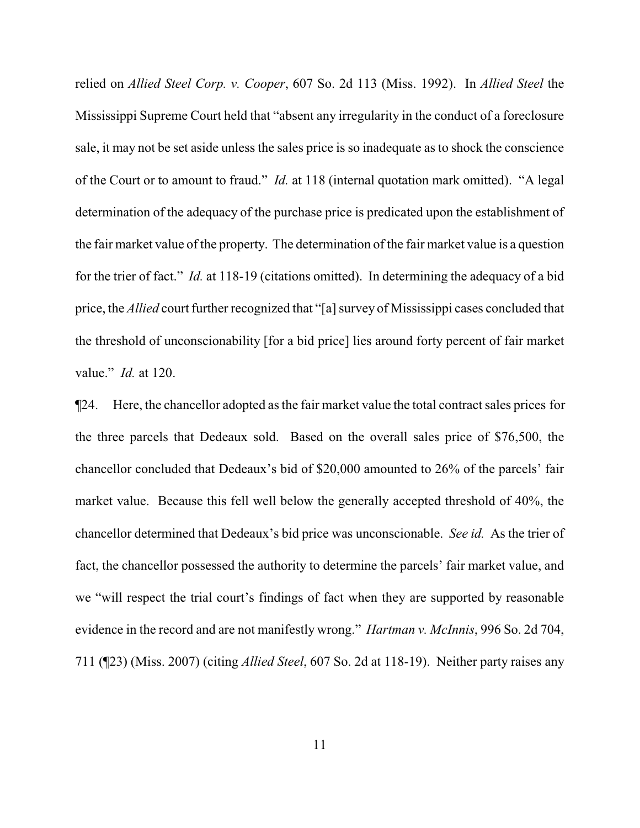relied on *Allied Steel Corp. v. Cooper*, 607 So. 2d 113 (Miss. 1992). In *Allied Steel* the Mississippi Supreme Court held that "absent any irregularity in the conduct of a foreclosure sale, it may not be set aside unless the sales price is so inadequate as to shock the conscience of the Court or to amount to fraud." *Id.* at 118 (internal quotation mark omitted). "A legal determination of the adequacy of the purchase price is predicated upon the establishment of the fair market value of the property. The determination of the fair market value is a question for the trier of fact." *Id.* at 118-19 (citations omitted). In determining the adequacy of a bid price, the *Allied* court further recognized that "[a] survey of Mississippi cases concluded that the threshold of unconscionability [for a bid price] lies around forty percent of fair market value." *Id.* at 120.

¶24. Here, the chancellor adopted as the fair market value the total contract sales prices for the three parcels that Dedeaux sold. Based on the overall sales price of \$76,500, the chancellor concluded that Dedeaux's bid of \$20,000 amounted to 26% of the parcels' fair market value. Because this fell well below the generally accepted threshold of 40%, the chancellor determined that Dedeaux's bid price was unconscionable. *See id.* As the trier of fact, the chancellor possessed the authority to determine the parcels' fair market value, and we "will respect the trial court's findings of fact when they are supported by reasonable evidence in the record and are not manifestly wrong." *Hartman v. McInnis*, 996 So. 2d 704, 711 (¶23) (Miss. 2007) (citing *Allied Steel*, 607 So. 2d at 118-19). Neither party raises any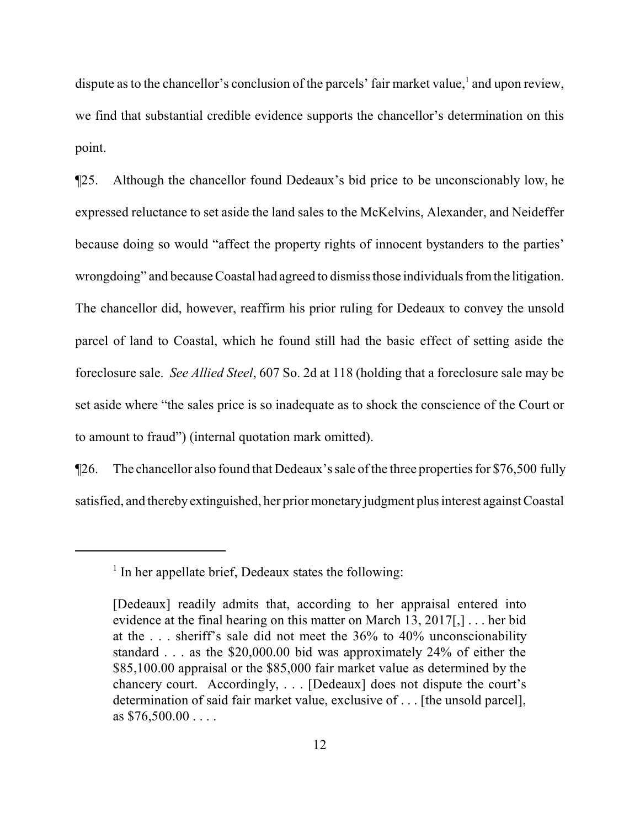dispute as to the chancellor's conclusion of the parcels' fair market value, $<sup>1</sup>$  and upon review,</sup> we find that substantial credible evidence supports the chancellor's determination on this point.

¶25. Although the chancellor found Dedeaux's bid price to be unconscionably low, he expressed reluctance to set aside the land sales to the McKelvins, Alexander, and Neideffer because doing so would "affect the property rights of innocent bystanders to the parties' wrongdoing" and because Coastal had agreed to dismiss those individuals fromthe litigation. The chancellor did, however, reaffirm his prior ruling for Dedeaux to convey the unsold parcel of land to Coastal, which he found still had the basic effect of setting aside the foreclosure sale. *See Allied Steel*, 607 So. 2d at 118 (holding that a foreclosure sale may be set aside where "the sales price is so inadequate as to shock the conscience of the Court or to amount to fraud") (internal quotation mark omitted).

¶26. The chancellor also found that Dedeaux's sale ofthe three properties for \$76,500 fully satisfied, and thereby extinguished, her prior monetary judgment plus interest against Coastal

<sup>&</sup>lt;sup>1</sup> In her appellate brief, Dedeaux states the following:

<sup>[</sup>Dedeaux] readily admits that, according to her appraisal entered into evidence at the final hearing on this matter on March 13, 2017[,] . . . her bid at the . . . sheriff's sale did not meet the 36% to 40% unconscionability standard . . . as the \$20,000.00 bid was approximately 24% of either the \$85,100.00 appraisal or the \$85,000 fair market value as determined by the chancery court. Accordingly, . . . [Dedeaux] does not dispute the court's determination of said fair market value, exclusive of . . . [the unsold parcel], as  $$76,500.00...$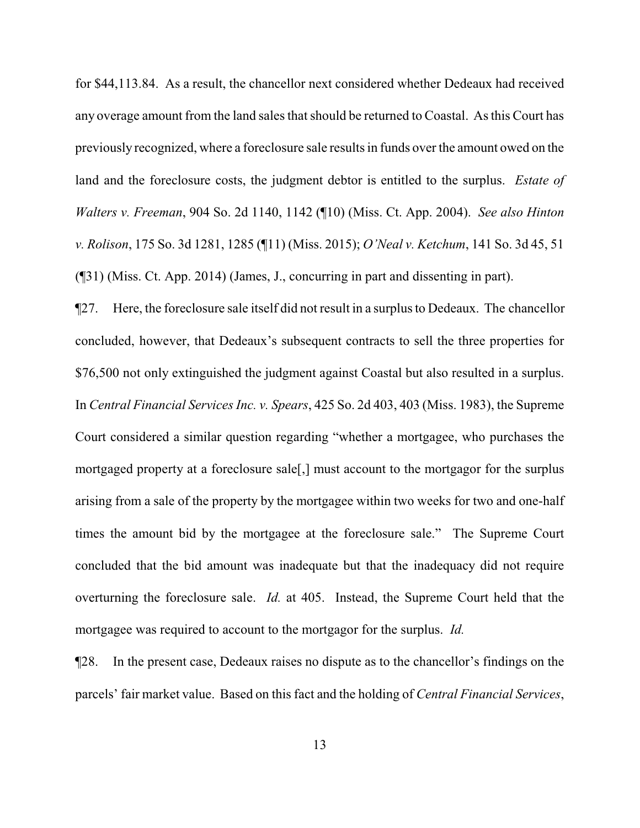for \$44,113.84. As a result, the chancellor next considered whether Dedeaux had received any overage amount from the land sales that should be returned to Coastal. As this Court has previously recognized, where a foreclosure sale results in funds over the amount owed on the land and the foreclosure costs, the judgment debtor is entitled to the surplus. *Estate of Walters v. Freeman*, 904 So. 2d 1140, 1142 (¶10) (Miss. Ct. App. 2004). *See also Hinton v. Rolison*, 175 So. 3d 1281, 1285 (¶11) (Miss. 2015); *O'Neal v. Ketchum*, 141 So. 3d 45, 51 (¶31) (Miss. Ct. App. 2014) (James, J., concurring in part and dissenting in part).

¶27. Here, the foreclosure sale itself did not result in a surplus to Dedeaux. The chancellor concluded, however, that Dedeaux's subsequent contracts to sell the three properties for \$76,500 not only extinguished the judgment against Coastal but also resulted in a surplus. In *Central Financial Services Inc. v. Spears*, 425 So. 2d 403, 403 (Miss. 1983), the Supreme Court considered a similar question regarding "whether a mortgagee, who purchases the mortgaged property at a foreclosure sale[,] must account to the mortgagor for the surplus arising from a sale of the property by the mortgagee within two weeks for two and one-half times the amount bid by the mortgagee at the foreclosure sale." The Supreme Court concluded that the bid amount was inadequate but that the inadequacy did not require overturning the foreclosure sale. *Id.* at 405. Instead, the Supreme Court held that the mortgagee was required to account to the mortgagor for the surplus. *Id.*

¶28. In the present case, Dedeaux raises no dispute as to the chancellor's findings on the parcels' fair market value. Based on this fact and the holding of *Central Financial Services*,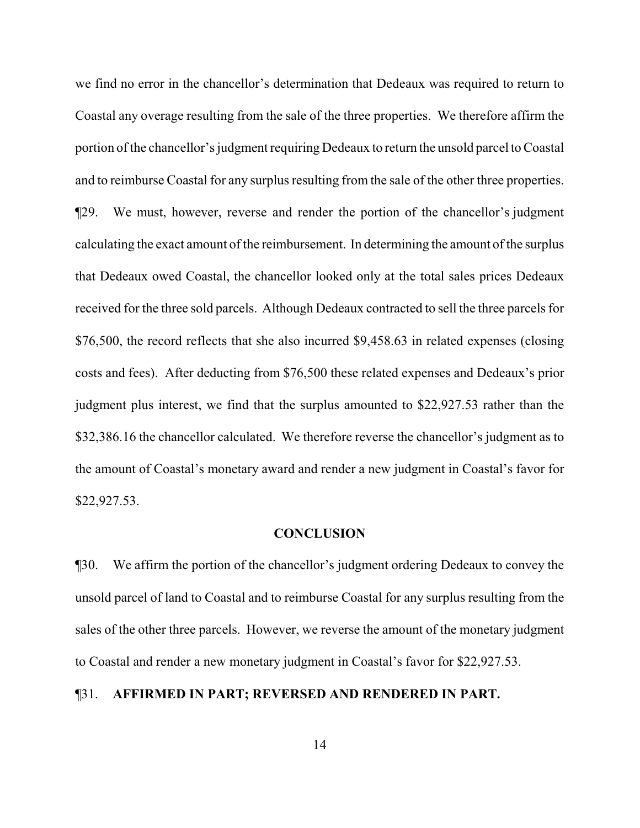we find no error in the chancellor's determination that Dedeaux was required to return to Coastal any overage resulting from the sale of the three properties. We therefore affirm the portion of the chancellor's judgment requiring Dedeaux to return the unsold parcel to Coastal and to reimburse Coastal for any surplus resulting from the sale of the other three properties. ¶29. We must, however, reverse and render the portion of the chancellor's judgment calculating the exact amount of the reimbursement. In determining the amount of the surplus that Dedeaux owed Coastal, the chancellor looked only at the total sales prices Dedeaux received for the three sold parcels. Although Dedeaux contracted to sell the three parcels for \$76,500, the record reflects that she also incurred \$9,458.63 in related expenses (closing costs and fees). After deducting from \$76,500 these related expenses and Dedeaux's prior judgment plus interest, we find that the surplus amounted to \$22,927.53 rather than the \$32,386.16 the chancellor calculated. We therefore reverse the chancellor's judgment as to the amount of Coastal's monetary award and render a new judgment in Coastal's favor for \$22,927.53.

## **CONCLUSION**

¶30. We affirm the portion of the chancellor's judgment ordering Dedeaux to convey the unsold parcel of land to Coastal and to reimburse Coastal for any surplus resulting from the sales of the other three parcels. However, we reverse the amount of the monetary judgment to Coastal and render a new monetary judgment in Coastal's favor for \$22,927.53.

# ¶31. **AFFIRMED IN PART; REVERSED AND RENDERED IN PART.**